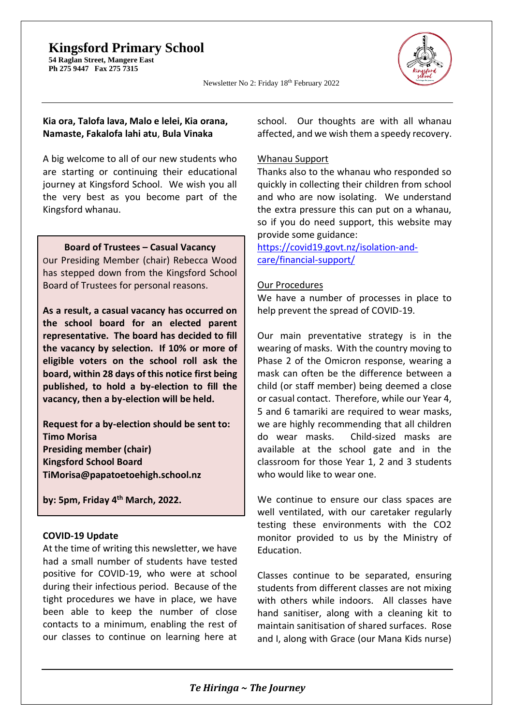## **Kingsford Primary School**

**54 Raglan Street, Mangere East Ph 275 9447 Fax 275 7315** 



Newsletter No 2: Friday 18th February 2022

#### **Kia ora, Talofa lava, Malo e lelei, Kia orana, Namaste, Fakalofa lahi atu**, **Bula Vinaka**

A big welcome to all of our new students who are starting or continuing their educational journey at Kingsford School. We wish you all the very best as you become part of the Kingsford whanau.

#### **Board of Trustees – Casual Vacancy**

Our Presiding Member (chair) Rebecca Wood has stepped down from the Kingsford School Board of Trustees for personal reasons.

**As a result, a casual vacancy has occurred on the school board for an elected parent representative. The board has decided to fill the vacancy by selection. If 10% or more of eligible voters on the school roll ask the board, within 28 days of this notice first being published, to hold a by-election to fill the vacancy, then a by-election will be held.**

**Request for a by-election should be sent to: Timo Morisa Presiding member (chair) Kingsford School Board [TiMorisa@papatoetoehigh.school.nz](mailto:TiMorisa@papatoetoehigh.school.nz)**

**by: 5pm, Friday 4th March, 2022.**

#### **COVID-19 Update**

At the time of writing this newsletter, we have had a small number of students have tested positive for COVID-19, who were at school during their infectious period. Because of the tight procedures we have in place, we have been able to keep the number of close contacts to a minimum, enabling the rest of our classes to continue on learning here at school. Our thoughts are with all whanau affected, and we wish them a speedy recovery.

#### Whanau Support

Thanks also to the whanau who responded so quickly in collecting their children from school and who are now isolating. We understand the extra pressure this can put on a whanau, so if you do need support, this website may provide some guidance:

[https://covid19.govt.nz/isolation-and](https://covid19.govt.nz/isolation-and-care/financial-support/)[care/financial-support/](https://covid19.govt.nz/isolation-and-care/financial-support/)

#### Our Procedures

We have a number of processes in place to help prevent the spread of COVID-19.

Our main preventative strategy is in the wearing of masks. With the country moving to Phase 2 of the Omicron response, wearing a mask can often be the difference between a child (or staff member) being deemed a close or casual contact. Therefore, while our Year 4, 5 and 6 tamariki are required to wear masks, we are highly recommending that all children do wear masks. Child-sized masks are available at the school gate and in the classroom for those Year 1, 2 and 3 students who would like to wear one.

We continue to ensure our class spaces are well ventilated, with our caretaker regularly testing these environments with the CO2 monitor provided to us by the Ministry of Education.

Classes continue to be separated, ensuring students from different classes are not mixing with others while indoors. All classes have hand sanitiser, along with a cleaning kit to maintain sanitisation of shared surfaces. Rose and I, along with Grace (our Mana Kids nurse)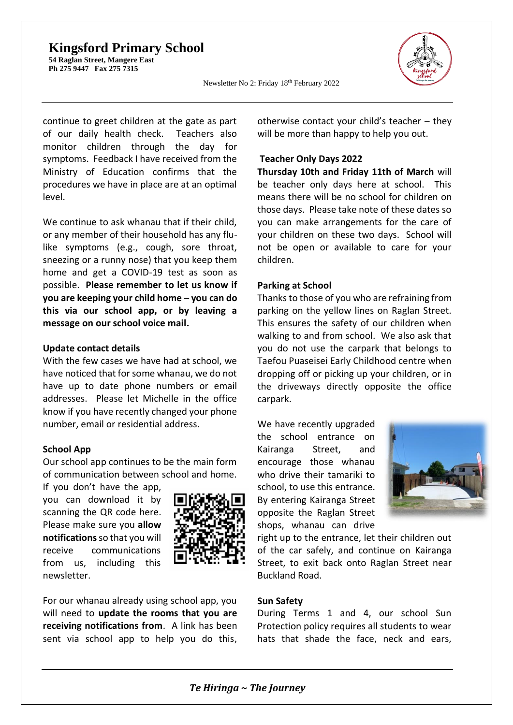### **Kingsford Primary School**

**54 Raglan Street, Mangere East Ph 275 9447 Fax 275 7315** 



Newsletter No 2: Friday 18th February 2022

continue to greet children at the gate as part of our daily health check. Teachers also monitor children through the day for symptoms. Feedback I have received from the Ministry of Education confirms that the procedures we have in place are at an optimal level.

We continue to ask whanau that if their child, or any member of their household has any flulike symptoms (e.g., cough, sore throat, sneezing or a runny nose) that you keep them home and get a COVID-19 test as soon as possible. **Please remember to let us know if you are keeping your child home – you can do this via our school app, or by leaving a message on our school voice mail.**

#### **Update contact details**

With the few cases we have had at school, we have noticed that for some whanau, we do not have up to date phone numbers or email addresses. Please let Michelle in the office know if you have recently changed your phone number, email or residential address.

#### **School App**

Our school app continues to be the main form of communication between school and home.

If you don't have the app, you can download it by scanning the QR code here. Please make sure you **allow notifications**so that you will receive communications from us, including this newsletter.



For our whanau already using school app, you will need to **update the rooms that you are receiving notifications from**. A link has been sent via school app to help you do this,

otherwise contact your child's teacher – they will be more than happy to help you out.

#### **Teacher Only Days 2022**

**Thursday 10th and Friday 11th of March** will be teacher only days here at school. This means there will be no school for children on those days. Please take note of these dates so you can make arrangements for the care of your children on these two days. School will not be open or available to care for your children.

#### **Parking at School**

Thanks to those of you who are refraining from parking on the yellow lines on Raglan Street. This ensures the safety of our children when walking to and from school. We also ask that you do not use the carpark that belongs to Taefou Puaseisei Early Childhood centre when dropping off or picking up your children, or in the driveways directly opposite the office carpark.

We have recently upgraded the school entrance on Kairanga Street, and encourage those whanau who drive their tamariki to school, to use this entrance. By entering Kairanga Street opposite the Raglan Street shops, whanau can drive



right up to the entrance, let their children out of the car safely, and continue on Kairanga Street, to exit back onto Raglan Street near Buckland Road.

#### **Sun Safety**

During Terms 1 and 4, our school Sun Protection policy requires all students to wear hats that shade the face, neck and ears,